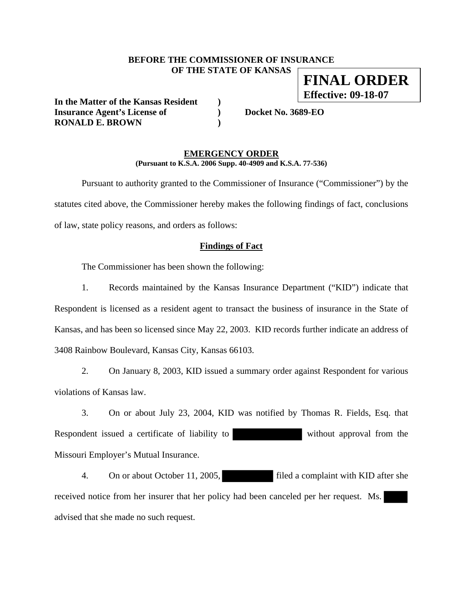#### **BEFORE THE COMMISSIONER OF INSURANCE OF THE STATE OF KANSAS FINAL ORDER**

**In the Matter of the Kansas Resident ) Insurance Agent's License of ) Docket No. 3689-EO RONALD E. BROWN )** 

**Effective: 09-18-07**

#### **EMERGENCY ORDER (Pursuant to K.S.A. 2006 Supp. 40-4909 and K.S.A. 77-536)**

 Pursuant to authority granted to the Commissioner of Insurance ("Commissioner") by the statutes cited above, the Commissioner hereby makes the following findings of fact, conclusions of law, state policy reasons, and orders as follows:

#### **Findings of Fact**

The Commissioner has been shown the following:

 1. Records maintained by the Kansas Insurance Department ("KID") indicate that Respondent is licensed as a resident agent to transact the business of insurance in the State of Kansas, and has been so licensed since May 22, 2003. KID records further indicate an address of 3408 Rainbow Boulevard, Kansas City, Kansas 66103.

 2. On January 8, 2003, KID issued a summary order against Respondent for various violations of Kansas law.

 3. On or about July 23, 2004, KID was notified by Thomas R. Fields, Esq. that Respondent issued a certificate of liability to without approval from the Missouri Employer's Mutual Insurance.

4. On or about October 11, 2005, filed a complaint with KID after she received notice from her insurer that her policy had been canceled per her request. Ms. advised that she made no such request.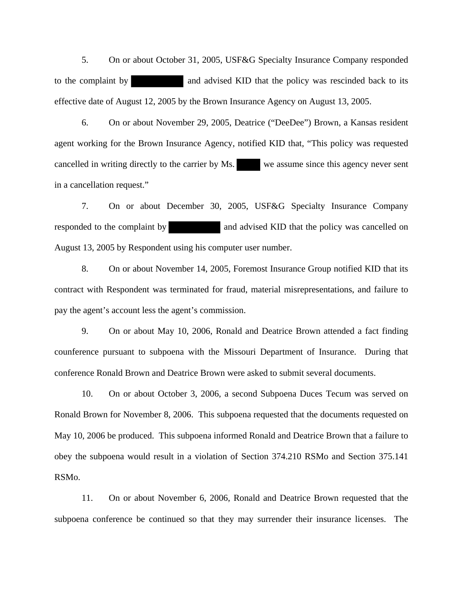5. On or about October 31, 2005, USF&G Specialty Insurance Company responded to the complaint by and advised KID that the policy was rescinded back to its effective date of August 12, 2005 by the Brown Insurance Agency on August 13, 2005.

 6. On or about November 29, 2005, Deatrice ("DeeDee") Brown, a Kansas resident agent working for the Brown Insurance Agency, notified KID that, "This policy was requested cancelled in writing directly to the carrier by Ms. we assume since this agency never sent in a cancellation request."

 7. On or about December 30, 2005, USF&G Specialty Insurance Company responded to the complaint by and advised KID that the policy was cancelled on August 13, 2005 by Respondent using his computer user number.

 8. On or about November 14, 2005, Foremost Insurance Group notified KID that its contract with Respondent was terminated for fraud, material misrepresentations, and failure to pay the agent's account less the agent's commission.

 9. On or about May 10, 2006, Ronald and Deatrice Brown attended a fact finding counference pursuant to subpoena with the Missouri Department of Insurance. During that conference Ronald Brown and Deatrice Brown were asked to submit several documents.

 10. On or about October 3, 2006, a second Subpoena Duces Tecum was served on Ronald Brown for November 8, 2006. This subpoena requested that the documents requested on May 10, 2006 be produced. This subpoena informed Ronald and Deatrice Brown that a failure to obey the subpoena would result in a violation of Section 374.210 RSMo and Section 375.141 RSMo.

 11. On or about November 6, 2006, Ronald and Deatrice Brown requested that the subpoena conference be continued so that they may surrender their insurance licenses. The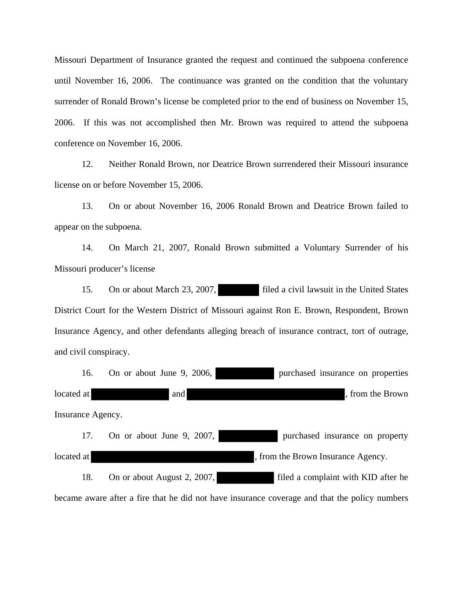Missouri Department of Insurance granted the request and continued the subpoena conference until November 16, 2006. The continuance was granted on the condition that the voluntary surrender of Ronald Brown's license be completed prior to the end of business on November 15, 2006. If this was not accomplished then Mr. Brown was required to attend the subpoena conference on November 16, 2006.

 12. Neither Ronald Brown, nor Deatrice Brown surrendered their Missouri insurance license on or before November 15, 2006.

 13. On or about November 16, 2006 Ronald Brown and Deatrice Brown failed to appear on the subpoena.

 14. On March 21, 2007, Ronald Brown submitted a Voluntary Surrender of his Missouri producer's license

15. On or about March 23, 2007, filed a civil lawsuit in the United States District Court for the Western District of Missouri against Ron E. Brown, Respondent, Brown Insurance Agency, and other defendants alleging breach of insurance contract, tort of outrage, and civil conspiracy.

| 16.               | On or about June 9, 2006,   | purchased insurance on properties                                                             |
|-------------------|-----------------------------|-----------------------------------------------------------------------------------------------|
| located at        | and                         | , from the Brown                                                                              |
| Insurance Agency. |                             |                                                                                               |
| 17.               | On or about June 9, 2007,   | purchased insurance on property                                                               |
| located at        |                             | , from the Brown Insurance Agency.                                                            |
| 18.               | On or about August 2, 2007, | filed a complaint with KID after he                                                           |
|                   |                             | became aware after a fire that he did not have insurance coverage and that the policy numbers |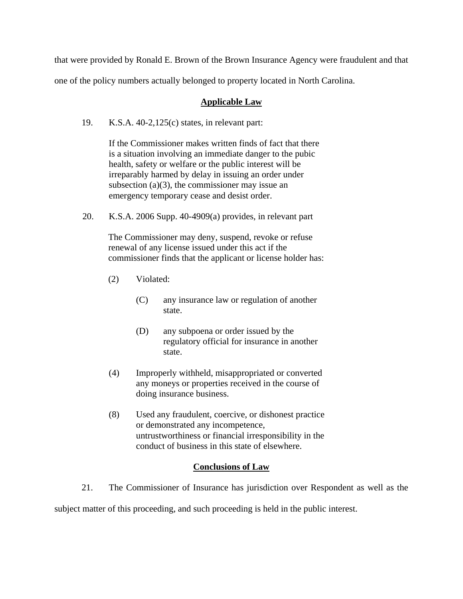that were provided by Ronald E. Brown of the Brown Insurance Agency were fraudulent and that one of the policy numbers actually belonged to property located in North Carolina.

#### **Applicable Law**

19. K.S.A. 40-2,125(c) states, in relevant part:

If the Commissioner makes written finds of fact that there is a situation involving an immediate danger to the pubic health, safety or welfare or the public interest will be irreparably harmed by delay in issuing an order under subsection  $(a)(3)$ , the commissioner may issue an emergency temporary cease and desist order.

20. K.S.A. 2006 Supp. 40-4909(a) provides, in relevant part

The Commissioner may deny, suspend, revoke or refuse renewal of any license issued under this act if the commissioner finds that the applicant or license holder has:

- (2) Violated:
	- (C) any insurance law or regulation of another state.
	- (D) any subpoena or order issued by the regulatory official for insurance in another state.
- (4) Improperly withheld, misappropriated or converted any moneys or properties received in the course of doing insurance business.
- (8) Used any fraudulent, coercive, or dishonest practice or demonstrated any incompetence, untrustworthiness or financial irresponsibility in the conduct of business in this state of elsewhere.

## **Conclusions of Law**

 21. The Commissioner of Insurance has jurisdiction over Respondent as well as the subject matter of this proceeding, and such proceeding is held in the public interest.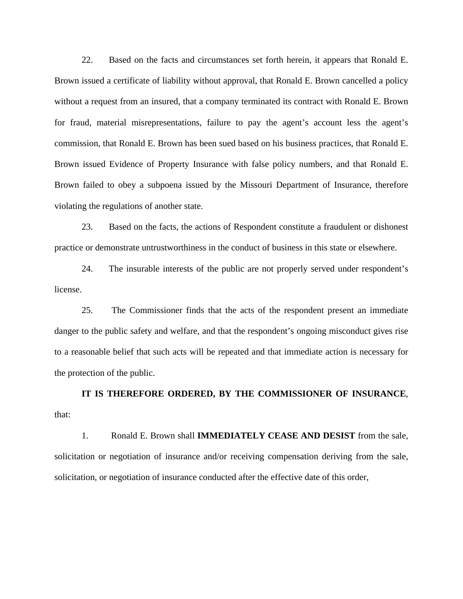22. Based on the facts and circumstances set forth herein, it appears that Ronald E. Brown issued a certificate of liability without approval, that Ronald E. Brown cancelled a policy without a request from an insured, that a company terminated its contract with Ronald E. Brown for fraud, material misrepresentations, failure to pay the agent's account less the agent's commission, that Ronald E. Brown has been sued based on his business practices, that Ronald E. Brown issued Evidence of Property Insurance with false policy numbers, and that Ronald E. Brown failed to obey a subpoena issued by the Missouri Department of Insurance, therefore violating the regulations of another state.

 23. Based on the facts, the actions of Respondent constitute a fraudulent or dishonest practice or demonstrate untrustworthiness in the conduct of business in this state or elsewhere.

 24. The insurable interests of the public are not properly served under respondent's license.

 25. The Commissioner finds that the acts of the respondent present an immediate danger to the public safety and welfare, and that the respondent's ongoing misconduct gives rise to a reasonable belief that such acts will be repeated and that immediate action is necessary for the protection of the public.

**IT IS THEREFORE ORDERED, BY THE COMMISSIONER OF INSURANCE**, that:

 1. Ronald E. Brown shall **IMMEDIATELY CEASE AND DESIST** from the sale, solicitation or negotiation of insurance and/or receiving compensation deriving from the sale, solicitation, or negotiation of insurance conducted after the effective date of this order,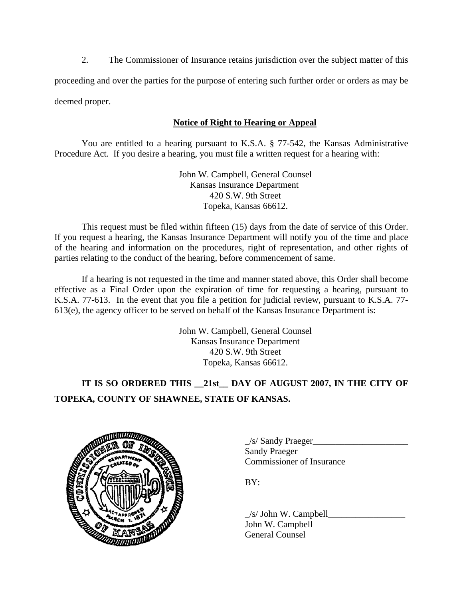2. The Commissioner of Insurance retains jurisdiction over the subject matter of this

proceeding and over the parties for the purpose of entering such further order or orders as may be deemed proper.

# **Notice of Right to Hearing or Appeal**

You are entitled to a hearing pursuant to K.S.A. § 77-542, the Kansas Administrative Procedure Act. If you desire a hearing, you must file a written request for a hearing with:

> John W. Campbell, General Counsel Kansas Insurance Department 420 S.W. 9th Street Topeka, Kansas 66612.

This request must be filed within fifteen (15) days from the date of service of this Order. If you request a hearing, the Kansas Insurance Department will notify you of the time and place of the hearing and information on the procedures, right of representation, and other rights of parties relating to the conduct of the hearing, before commencement of same.

If a hearing is not requested in the time and manner stated above, this Order shall become effective as a Final Order upon the expiration of time for requesting a hearing, pursuant to K.S.A. 77-613. In the event that you file a petition for judicial review, pursuant to K.S.A. 77- 613(e), the agency officer to be served on behalf of the Kansas Insurance Department is:

> John W. Campbell, General Counsel Kansas Insurance Department 420 S.W. 9th Street Topeka, Kansas 66612.

# **IT IS SO ORDERED THIS \_\_21st\_\_ DAY OF AUGUST 2007, IN THE CITY OF TOPEKA, COUNTY OF SHAWNEE, STATE OF KANSAS.**



 $\angle$ s/ Sandy Praeger $\Box$  Sandy Praeger Commissioner of Insurance

 $\angle$ s/ John W. Campbell $\angle$  John W. Campbell General Counsel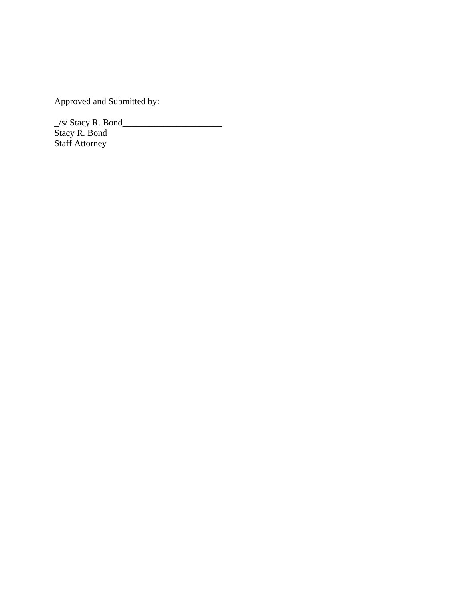Approved and Submitted by:

 $\angle$ s/ Stacy R. Bond $\angle$ Stacy R. Bond Staff Attorney